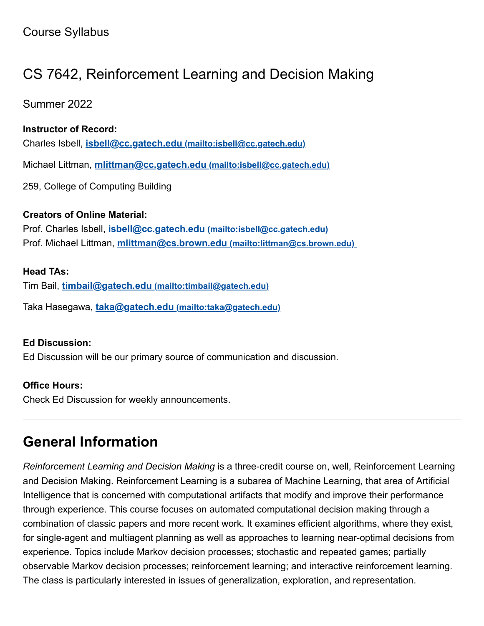## CS 7642, Reinforcement Learning and Decision Making

Summer 2022

### **Instructor of Record:**

Charles Isbell, **isbell@cc.gatech.edu [\(mailto:isbell@cc.gatech.edu\)](mailto:isbell@cc.gatech.edu)**

Michael Littman, **[mlittman@cc.gatech.edu](mailto:isbell@cc.gatech.edu) (mailto:isbell@cc.gatech.edu)**

259, College of Computing Building

### **Creators of Online Material:**

Prof. Charles Isbell, **isbell@cc.gatech.edu [\(mailto:isbell@cc.gatech.edu\)](mailto:isbell@cc.gatech.edu)** Prof. Michael Littman, **mlittman@cs.brown.edu [\(mailto:littman@cs.brown.edu\)](mailto:littman@cs.brown.edu)**

#### **Head TAs:**

Tim Bail, **timbail@gatech.edu [\(mailto:timbail@gatech.edu\)](mailto:timbail@gatech.edu)**

Taka Hasegawa, **taka@gatech.edu [\(mailto:taka@gatech.edu\)](mailto:taka@gatech.edu)**

#### **Ed Discussion:**

Ed Discussion will be our primary source of communication and discussion.

#### **Office Hours:**

Check Ed Discussion for weekly announcements.

## **General Information**

*Reinforcement Learning and Decision Making* is a three-credit course on, well, Reinforcement Learning and Decision Making. Reinforcement Learning is a subarea of Machine Learning, that area of Artificial Intelligence that is concerned with computational artifacts that modify and improve their performance through experience. This course focuses on automated computational decision making through a combination of classic papers and more recent work. It examines efficient algorithms, where they exist, for single-agent and multiagent planning as well as approaches to learning near-optimal decisions from experience. Topics include Markov decision processes; stochastic and repeated games; partially observable Markov decision processes; reinforcement learning; and interactive reinforcement learning. The class is particularly interested in issues of generalization, exploration, and representation.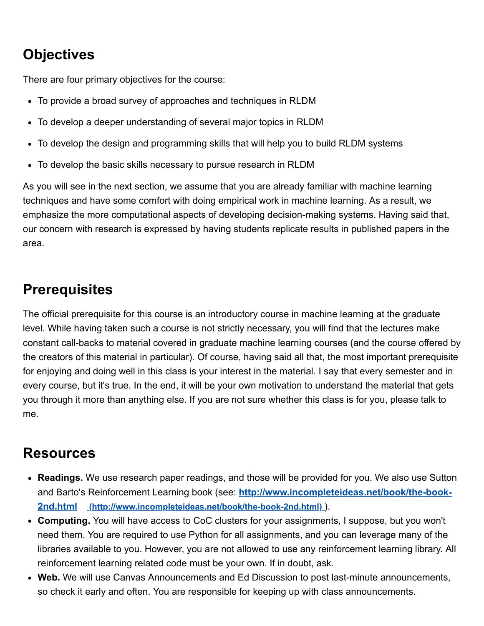## **Objectives**

There are four primary objectives for the course:

- To provide a broad survey of approaches and techniques in RLDM
- To develop a deeper understanding of several major topics in RLDM
- To develop the design and programming skills that will help you to build RLDM systems
- To develop the basic skills necessary to pursue research in RLDM

As you will see in the next section, we assume that you are already familiar with machine learning techniques and have some comfort with doing empirical work in machine learning. As a result, we emphasize the more computational aspects of developing decision-making systems. Having said that, our concern with research is expressed by having students replicate results in published papers in the area.

### **Prerequisites**

The official prerequisite for this course is an introductory course in machine learning at the graduate level. While having taken such a course is not strictly necessary, you will find that the lectures make constant call-backs to material covered in graduate machine learning courses (and the course offered by the creators of this material in particular). Of course, having said all that, the most important prerequisite for enjoying and doing well in this class is your interest in the material. I say that every semester and in every course, but it's true. In the end, it will be your own motivation to understand the material that gets you through it more than anything else. If you are not sure whether this class is for you, please talk to me.

### **Resources**

- **Readings.** We use research paper readings, and those will be provided for you. We also use Sutton and Barto's Reinforcement Learning book (see: **[http://www.incompleteideas.net/book/the-book-](http://www.incompleteideas.net/book/the-book-2nd.html)2nd.html (http://www.incompleteideas.net/book/the-book-2nd.html)** ).
- **Computing.** You will have access to CoC clusters for your assignments, I suppose, but you won't need them. You are required to use Python for all assignments, and you can leverage many of the libraries available to you. However, you are not allowed to use any reinforcement learning library. All reinforcement learning related code must be your own. If in doubt, ask.
- **Web.** We will use Canvas Announcements and Ed Discussion to post last-minute announcements, so check it early and often. You are responsible for keeping up with class announcements.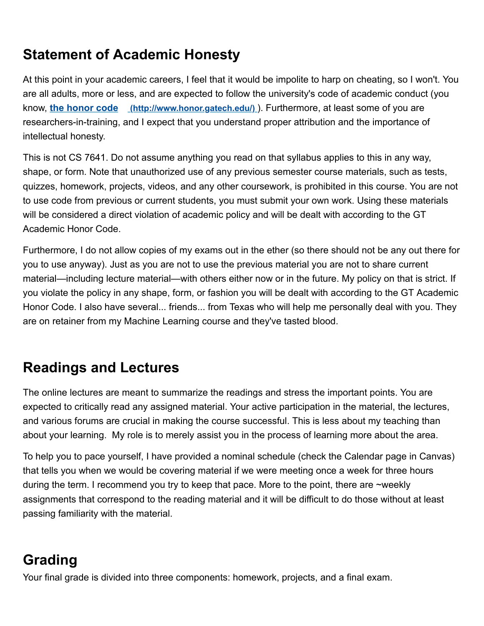## **Statement of Academic Honesty**

At this point in your academic careers, I feel that it would be impolite to harp on cheating, so I won't. You are all adults, more or less, and are expected to follow the university's code of academic conduct (you know, **the honor code [\(http://www.honor.gatech.edu/\)](http://www.honor.gatech.edu/)** ). Furthermore, at least some of you are researchers-in-training, and I expect that you understand proper attribution and the importance of intellectual honesty.

This is not CS 7641. Do not assume anything you read on that syllabus applies to this in any way, shape, or form. Note that unauthorized use of any previous semester course materials, such as tests, quizzes, homework, projects, videos, and any other coursework, is prohibited in this course. You are not to use code from previous or current students, you must submit your own work. Using these materials will be considered a direct violation of academic policy and will be dealt with according to the GT Academic Honor Code.

Furthermore, I do not allow copies of my exams out in the ether (so there should not be any out there for you to use anyway). Just as you are not to use the previous material you are not to share current material—including lecture material—with others either now or in the future. My policy on that is strict. If you violate the policy in any shape, form, or fashion you will be dealt with according to the GT Academic Honor Code. I also have several... friends... from Texas who will help me personally deal with you. They are on retainer from my Machine Learning course and they've tasted blood.

## **Readings and Lectures**

The online lectures are meant to summarize the readings and stress the important points. You are expected to critically read any assigned material. Your active participation in the material, the lectures, and various forums are crucial in making the course successful. This is less about my teaching than about your learning. My role is to merely assist you in the process of learning more about the area.

To help you to pace yourself, I have provided a nominal schedule (check the Calendar page in Canvas) that tells you when we would be covering material if we were meeting once a week for three hours during the term. I recommend you try to keep that pace. More to the point, there are ~weekly assignments that correspond to the reading material and it will be difficult to do those without at least passing familiarity with the material.

## **Grading**

Your final grade is divided into three components: homework, projects, and a final exam.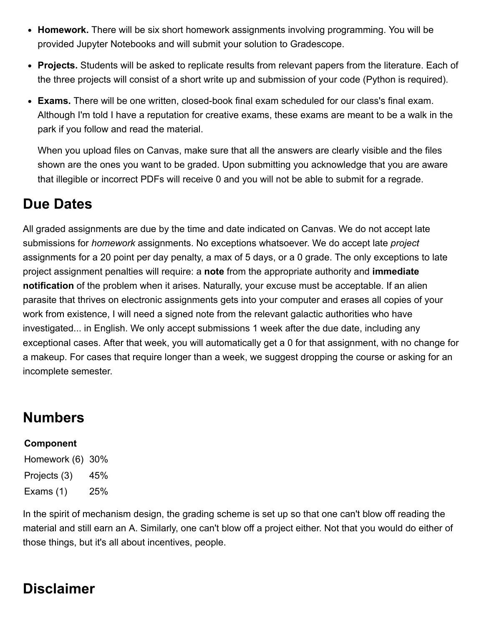- **Homework.** There will be six short homework assignments involving programming. You will be provided Jupyter Notebooks and will submit your solution to Gradescope.
- **Projects.** Students will be asked to replicate results from relevant papers from the literature. Each of the three projects will consist of a short write up and submission of your code (Python is required).
- **Exams.** There will be one written, closed-book final exam scheduled for our class's final exam. Although I'm told I have a reputation for creative exams, these exams are meant to be a walk in the park if you follow and read the material.

When you upload files on Canvas, make sure that all the answers are clearly visible and the files shown are the ones you want to be graded. Upon submitting you acknowledge that you are aware that illegible or incorrect PDFs will receive 0 and you will not be able to submit for a regrade.

### **Due Dates**

All graded assignments are due by the time and date indicated on Canvas. We do not accept late submissions for *homework* assignments. No exceptions whatsoever. We do accept late *project* assignments for a 20 point per day penalty, a max of 5 days, or a 0 grade. The only exceptions to late project assignment penalties will require: a **note** from the appropriate authority and **immediate notification** of the problem when it arises. Naturally, your excuse must be acceptable. If an alien parasite that thrives on electronic assignments gets into your computer and erases all copies of your work from existence, I will need a signed note from the relevant galactic authorities who have investigated... in English. We only accept submissions 1 week after the due date, including any exceptional cases. After that week, you will automatically get a 0 for that assignment, with no change for a makeup. For cases that require longer than a week, we suggest dropping the course or asking for an incomplete semester.

## **Numbers**

### **Component**

Homework (6) 30% Projects (3) 45% Exams (1) 25%

In the spirit of mechanism design, the grading scheme is set up so that one can't blow off reading the material and still earn an A. Similarly, one can't blow off a project either. Not that you would do either of those things, but it's all about incentives, people.

## **Disclaimer**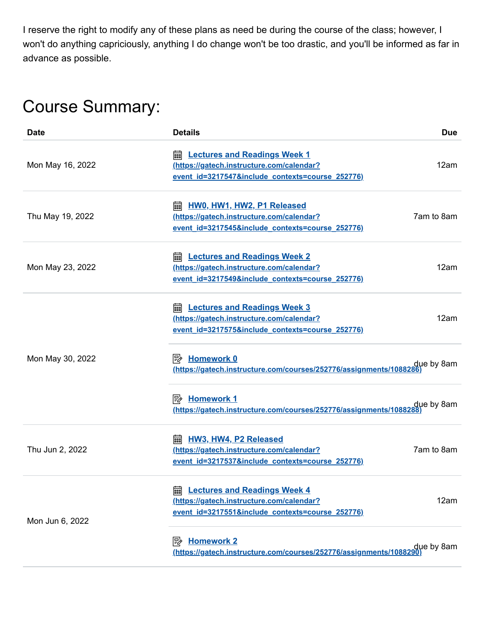I reserve the right to modify any of these plans as need be during the course of the class; however, I won't do anything capriciously, anything I do change won't be too drastic, and you'll be informed as far in advance as possible.

# Course Summary:

| Date             | <b>Details</b>                                                                                                                            | <b>Due</b> |
|------------------|-------------------------------------------------------------------------------------------------------------------------------------------|------------|
| Mon May 16, 2022 | <b>a.</b> Lectures and Readings Week 1<br>(https://gatech.instructure.com/calendar?<br>event id=3217547&include contexts=course 252776)   | 12am       |
| Thu May 19, 2022 | HW0, HW1, HW2, P1 Released<br>翩<br>(https://gatech.instructure.com/calendar?<br>event id=3217545&include contexts=course 252776)          | 7am to 8am |
| Mon May 23, 2022 | <b>Lectures and Readings Week 2</b><br>酾<br>(https://gatech.instructure.com/calendar?<br>event id=3217549&include contexts=course 252776) | 12am       |
| Mon May 30, 2022 | <b>a.</b> Lectures and Readings Week 3<br>(https://gatech.instructure.com/calendar?<br>event id=3217575&include contexts=course 252776)   | 12am       |
|                  | <u>/https://gatech.instructure.com/courses/252776/assignments/1088286</u>                                                                 | due by 8am |
|                  | <b>Homework 1</b><br>眇<br>due by 8am <u>(https://gatech.instructure.com/courses/252776/assignments/1088288)</u>                           |            |
| Thu Jun 2, 2022  | <b>HW3, HW4, P2 Released</b><br>翩<br>(https://gatech.instructure.com/calendar?<br>event id=3217537&include contexts=course 252776)        | 7am to 8am |
| Mon Jun 6, 2022  | <b>Lectures and Readings Week 4</b><br>翩<br>(https://gatech.instructure.com/calendar?<br>event id=3217551&include_contexts=course_252776) | 12am       |
|                  | <b>Homework 2</b><br>零<br>due by 8am<br><u>(https://gatech.instructure.com/courses/</u> 252776/assignments/1088290)                       |            |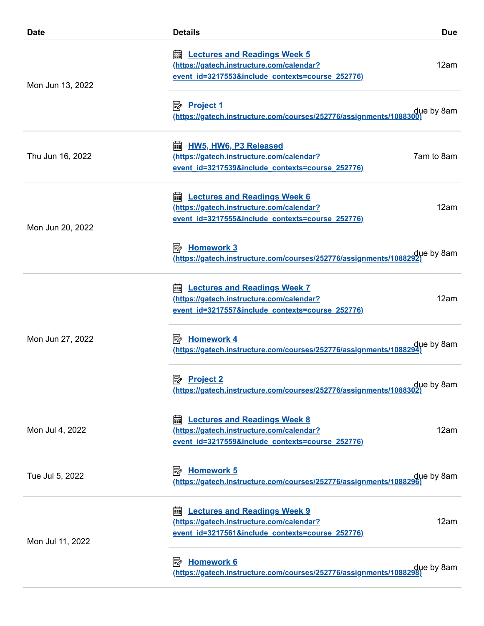| <b>Date</b>      | <b>Details</b>                                                                                                                            | <b>Due</b> |
|------------------|-------------------------------------------------------------------------------------------------------------------------------------------|------------|
| Mon Jun 13, 2022 | <b>Lectures and Readings Week 5</b><br>繭<br>(https://gatech.instructure.com/calendar?<br>event id=3217553&include contexts=course 252776) | 12am       |
|                  | due by 8am<br>https://gatech.instructure.com/courses/252776/assignments/1088300).                                                         |            |
| Thu Jun 16, 2022 | <b>HW5, HW6, P3 Released</b><br>酾<br>(https://gatech.instructure.com/calendar?<br>event id=3217539&include contexts=course 252776)        | 7am to 8am |
| Mon Jun 20, 2022 | <b>Lectures and Readings Week 6</b><br>翩<br>(https://gatech.instructure.com/calendar?<br>event id=3217555&include_contexts=course_252776) | 12am       |
|                  | <b>E</b> Homework 3<br>due by 8am<br>https://gatech.instructure.com/courses/252776/assignments/1088292)                                   |            |
| Mon Jun 27, 2022 | <b>Lectures and Readings Week 7</b><br>酾<br>(https://gatech.instructure.com/calendar?<br>event id=3217557&include contexts=course 252776) | 12am       |
|                  | <b>Homework 4</b><br>l₩<br>(https://gatech.instructure.com/courses/252776/assignments/1088294                                             | due by 8am |
|                  | ⊯<br><b>Project 2</b><br>due by 8am<br>https://gatech.instructure.com/courses/252776/assignments/1088302).                                |            |
| Mon Jul 4, 2022  | <b>Lectures and Readings Week 8</b><br>翩<br>(https://gatech.instructure.com/calendar?<br>event id=3217559&include contexts=course 252776) | 12am       |
| Tue Jul 5, 2022  | <b>Homework 5</b><br>⊯<br>due by 8am<br><u>(https://gatech.instructure.com/courses/252776/assignments/1088296)</u>                        |            |
| Mon Jul 11, 2022 | <b>Lectures and Readings Week 9</b><br>酾<br>(https://gatech.instructure.com/calendar?<br>event id=3217561&include contexts=course 252776) | 12am       |
|                  | <b>Homework 6</b><br>吟<br>due by 8am<br><b>https://gatech.instructure.com/courses/252776/assignments/1088298)</b>                         |            |